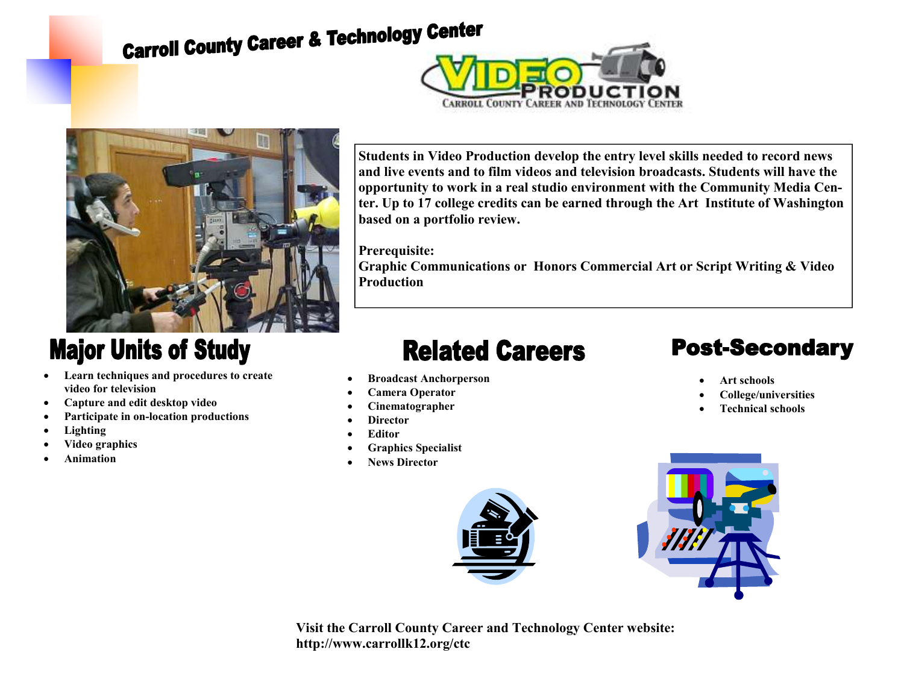# **Carroll County Career & Technology Center**





### **Major Units of Study**

- **Learn techniques and procedures to create video for television**
- **Capture and edit desktop video**
- **Participate in on-location productions**
- **Lighting**
- **Video graphics**
- **Animation**

**Students in Video Production develop the entry level skills needed to record news and live events and to film videos and television broadcasts. Students will have the opportunity to work in a real studio environment with the Community Media Center. Up to 17 college credits can be earned through the Art Institute of Washington based on a portfolio review.** 

#### **Prerequisite:**

 **Graphic Communications or Honors Commercial Art or Script Writing & Video Production** 

### **Related Careers**

- **Broadcast Anchorperson**
- **Camera Operator**
- **Cinematographer**
- **Director**
- **Editor**
- **Graphics Specialist**
- **News Director**



## **Post-Secondary**

- **Art schools**
- **College/universities**
- **Technical schools**



**Visit the Carroll County Career and Technology Center website: http://www.carrollk12.org/ctc**